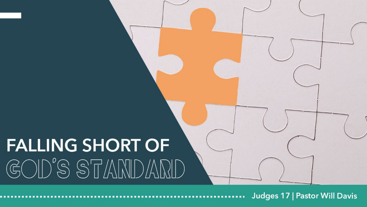## **FALLING SHORT OF** GOD'S STANDARD

**Judges 17 | Pastor Will Davis**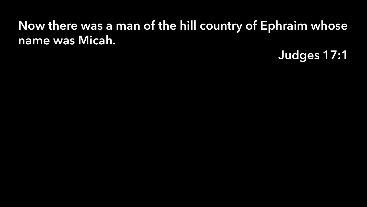## Now there was a man of the hill country of Ephraim whose name was Micah.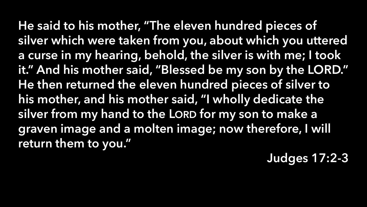He said to his mother, "The eleven hundred pieces of silver which were taken from you, about which you uttered a curse in my hearing, behold, the silver is with me; I took it." And his mother said, "Blessed be my son by the LORD." He then returned the eleven hundred pieces of silver to his mother, and his mother said, "I wholly dedicate the silver from my hand to the LORD for my son to make a graven image and a molten image; now therefore, I will return them to you."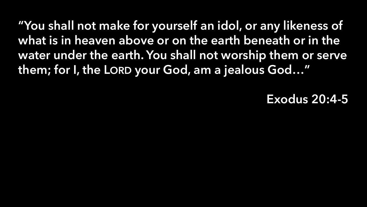"You shall not make for yourself an idol, or any likeness of what is in heaven above or on the earth beneath or in the water under the earth. You shall not worship them or serve them; for I, the LORD your God, am a jealous God…"

## Exodus 20:4-5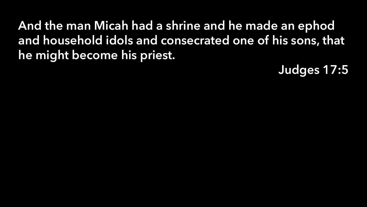And the man Micah had a shrine and he made an ephod and household idols and consecrated one of his sons, that he might become his priest.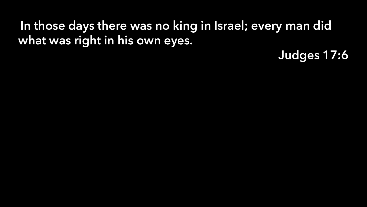## In those days there was no king in Israel; every man did what was right in his own eyes.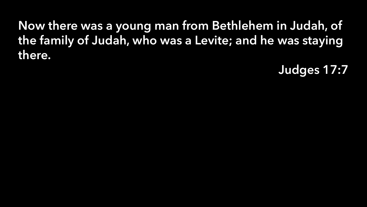Now there was a young man from Bethlehem in Judah, of the family of Judah, who was a Levite; and he was staying there.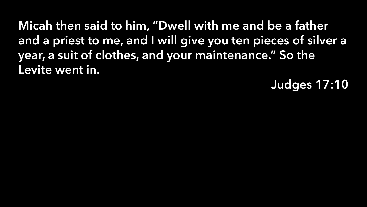Micah then said to him, "Dwell with me and be a father and a priest to me, and I will give you ten pieces of silver a year, a suit of clothes, and your maintenance." So the Levite went in.